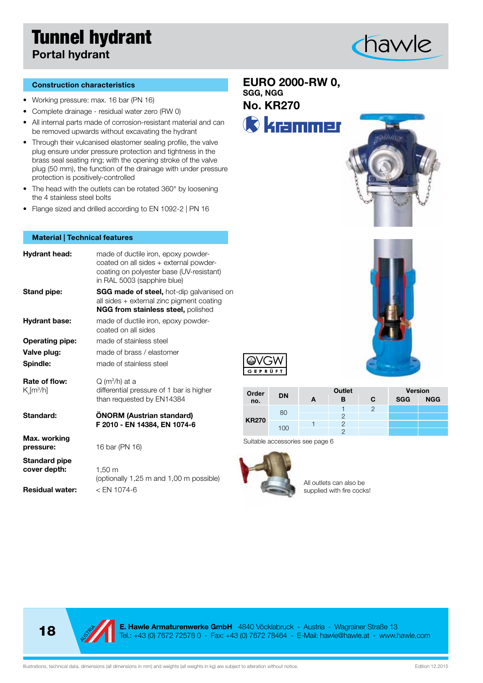## Tunnel hydrant Portal hydrant



#### Construction characteristics

- • Working pressure: max. 16 bar (PN 16)
- • Complete drainage residual water zero (RW 0)
- All internal parts made of corrosion-resistant material and can be removed upwards without excavating the hydrant
- Through their vulcanised elastomer sealing profile, the valve plug ensure under pressure protection and tightness in the brass seal seating ring; with the opening stroke of the valve plug (50 mm), the function of the drainage with under pressure protection is positively-controlled
- The head with the outlets can be rotated 360° by loosening the 4 stainless steel bolts
- Flange sized and drilled according to EN 1092-2 | PN 16

#### Material | Technical features

| <b>Hydrant head:</b>                     | made of ductile iron, epoxy powder-<br>coated on all sides + external powder-<br>coating on polyester base (UV-resistant)<br>in RAL 5003 (sapphire blue) |
|------------------------------------------|----------------------------------------------------------------------------------------------------------------------------------------------------------|
| <b>Stand pipe:</b>                       | <b>SGG made of steel, hot-dip galvanised on</b><br>all sides + external zinc pigment coating<br><b>NGG from stainless steel, polished</b>                |
| <b>Hydrant base:</b>                     | made of ductile iron, epoxy powder-<br>coated on all sides                                                                                               |
| <b>Operating pipe:</b>                   | made of stainless steel                                                                                                                                  |
| Valve plug:                              | made of brass / elastomer                                                                                                                                |
| Spindle:                                 | made of stainless steel                                                                                                                                  |
| Rate of flow:<br>$K$ [m <sup>3</sup> /h] | $Q(m^3/h)$ at a<br>differential pressure of 1 bar is higher<br>than requested by EN14384                                                                 |
| Standard:                                | <b>ONORM (Austrian standard)</b><br>F 2010 - EN 14384, EN 1074-6                                                                                         |
| Max. working<br>pressure:                | 16 bar (PN 16)                                                                                                                                           |
| <b>Standard pipe</b><br>cover depth:     | $1,50 \text{ m}$<br>(optionally 1.25 m and 1.00 m possible)                                                                                              |

Residual water: < EN 1074-6

(optionally 1,25 m and 1,00 m possible)

EURO 2000-RW 0, SGG, NGG

No. KR270

**C** krammer







| Order        |           | Outlet |   |   | <b>Version</b> |            |
|--------------|-----------|--------|---|---|----------------|------------|
| no.          | <b>DN</b> | А      | в | C | <b>SGG</b>     | <b>NGG</b> |
|              |           |        |   |   |                |            |
| <b>KR270</b> | 80        |        |   |   |                |            |
|              | 100       |        |   |   |                |            |
|              |           |        |   |   |                |            |

Suitable accessories see page 6



All outlets can also be supplied with fire cocks!



**E. Hawle Armaturenwerke GmbH** 4840 Vöcklabruck - Austria - Wagrainer Straße 13<br>Tel.: +43 (0) 7672 72576 0 - Fax: +43 (0) 7672 78464 - E-Mail: hawle@hawle.at - www.hawle.com